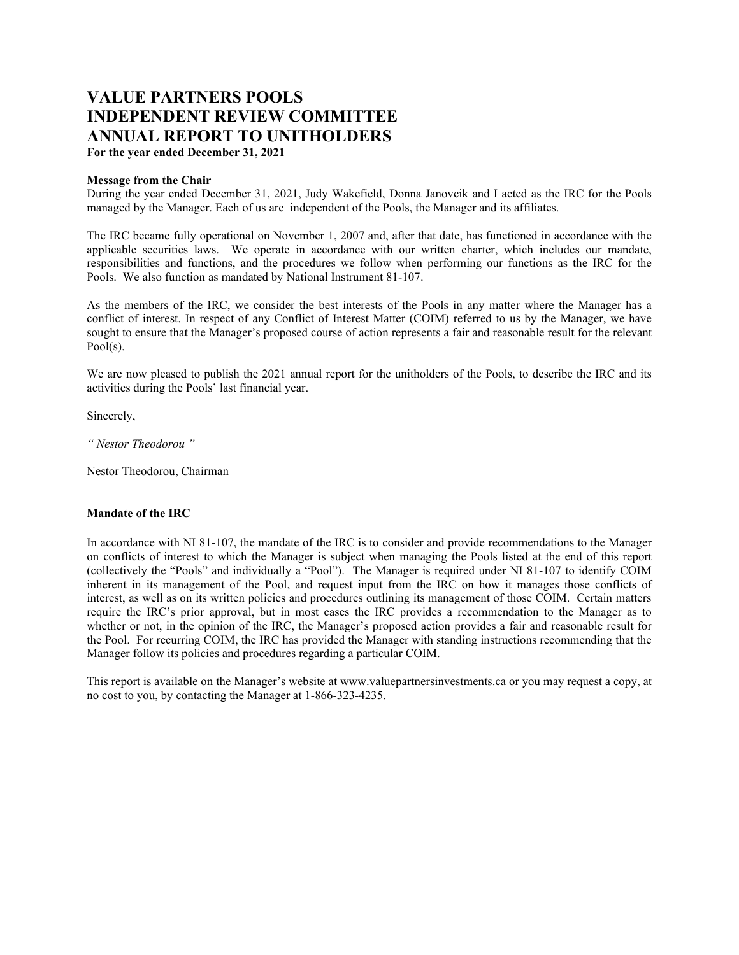# **VALUE PARTNERS POOLS INDEPENDENT REVIEW COMMITTEE ANNUAL REPORT TO UNITHOLDERS**

**For the year ended December 31, 2021**

## **Message from the Chair**

During the year ended December 31, 2021, Judy Wakefield, Donna Janovcik and I acted as the IRC for the Pools managed by the Manager. Each of us are independent of the Pools, the Manager and its affiliates.

The IRC became fully operational on November 1, 2007 and, after that date, has functioned in accordance with the applicable securities laws. We operate in accordance with our written charter, which includes our mandate, responsibilities and functions, and the procedures we follow when performing our functions as the IRC for the Pools. We also function as mandated by National Instrument 81-107.

As the members of the IRC, we consider the best interests of the Pools in any matter where the Manager has a conflict of interest. In respect of any Conflict of Interest Matter (COIM) referred to us by the Manager, we have sought to ensure that the Manager's proposed course of action represents a fair and reasonable result for the relevant Pool(s).

We are now pleased to publish the 2021 annual report for the unitholders of the Pools, to describe the IRC and its activities during the Pools' last financial year.

Sincerely,

*" Nestor Theodorou "*

Nestor Theodorou, Chairman

## **Mandate of the IRC**

In accordance with NI 81-107, the mandate of the IRC is to consider and provide recommendations to the Manager on conflicts of interest to which the Manager is subject when managing the Pools listed at the end of this report (collectively the "Pools" and individually a "Pool"). The Manager is required under NI 81-107 to identify COIM inherent in its management of the Pool, and request input from the IRC on how it manages those conflicts of interest, as well as on its written policies and procedures outlining its management of those COIM. Certain matters require the IRC's prior approval, but in most cases the IRC provides a recommendation to the Manager as to whether or not, in the opinion of the IRC, the Manager's proposed action provides a fair and reasonable result for the Pool. For recurring COIM, the IRC has provided the Manager with standing instructions recommending that the Manager follow its policies and procedures regarding a particular COIM.

This report is available on the Manager's website at www.valuepartnersinvestments.ca or you may request a copy, at no cost to you, by contacting the Manager at 1-866-323-4235.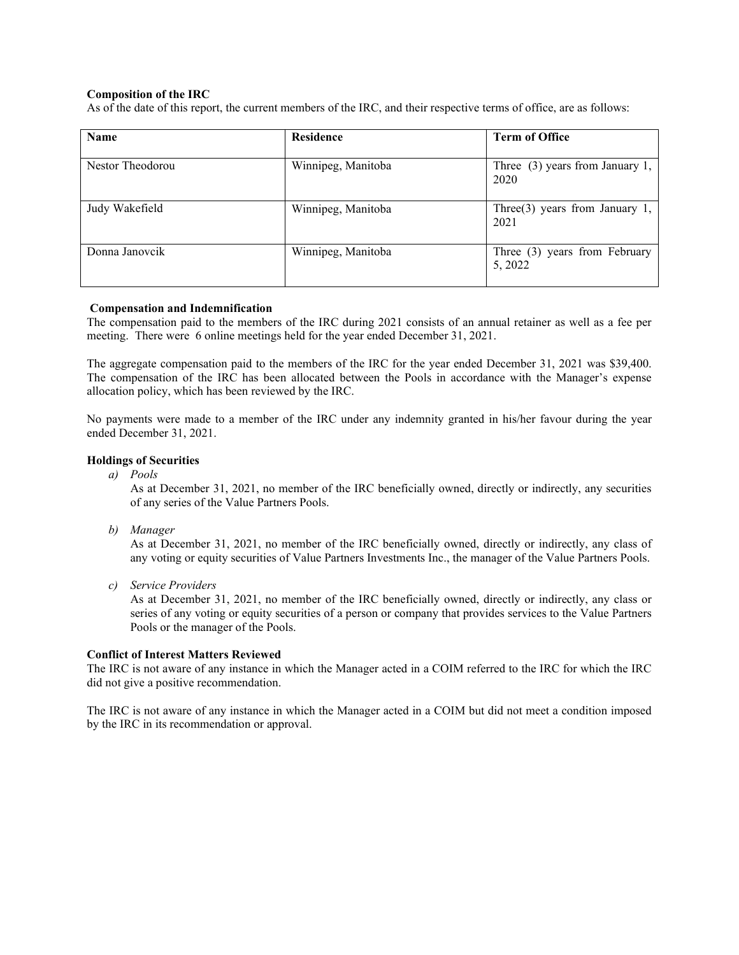## **Composition of the IRC**

As of the date of this report, the current members of the IRC, and their respective terms of office, are as follows:

| <b>Name</b>      | <b>Residence</b>   | <b>Term of Office</b>                     |
|------------------|--------------------|-------------------------------------------|
| Nestor Theodorou | Winnipeg, Manitoba | Three $(3)$ years from January 1,<br>2020 |
| Judy Wakefield   | Winnipeg, Manitoba | Three $(3)$ years from January 1,<br>2021 |
| Donna Janovcik   | Winnipeg, Manitoba | Three (3) years from February<br>5, 2022  |

## **Compensation and Indemnification**

The compensation paid to the members of the IRC during 2021 consists of an annual retainer as well as a fee per meeting. There were 6 online meetings held for the year ended December 31, 2021.

The aggregate compensation paid to the members of the IRC for the year ended December 31, 2021 was \$39,400. The compensation of the IRC has been allocated between the Pools in accordance with the Manager's expense allocation policy, which has been reviewed by the IRC.

No payments were made to a member of the IRC under any indemnity granted in his/her favour during the year ended December 31, 2021.

## **Holdings of Securities**

*a) Pools*

As at December 31, 2021, no member of the IRC beneficially owned, directly or indirectly, any securities of any series of the Value Partners Pools.

*b) Manager*

As at December 31, 2021, no member of the IRC beneficially owned, directly or indirectly, any class of any voting or equity securities of Value Partners Investments Inc., the manager of the Value Partners Pools.

*c) Service Providers*

As at December 31, 2021, no member of the IRC beneficially owned, directly or indirectly, any class or series of any voting or equity securities of a person or company that provides services to the Value Partners Pools or the manager of the Pools.

## **Conflict of Interest Matters Reviewed**

The IRC is not aware of any instance in which the Manager acted in a COIM referred to the IRC for which the IRC did not give a positive recommendation.

The IRC is not aware of any instance in which the Manager acted in a COIM but did not meet a condition imposed by the IRC in its recommendation or approval.